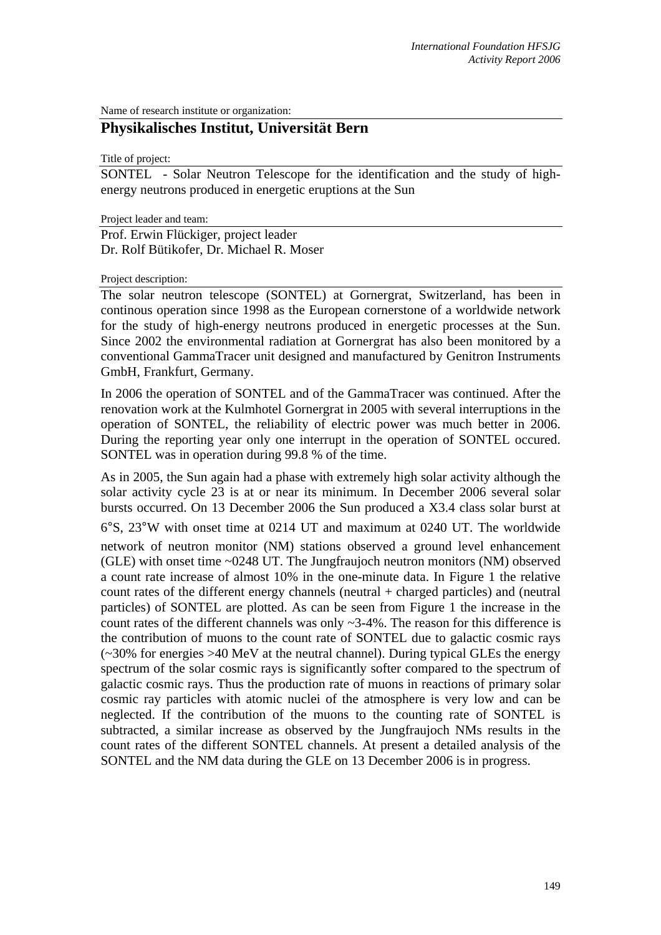Name of research institute or organization:

## **Physikalisches Institut, Universität Bern**

Title of project:

SONTEL - Solar Neutron Telescope for the identification and the study of highenergy neutrons produced in energetic eruptions at the Sun

Project leader and team:

Prof. Erwin Flückiger, project leader Dr. Rolf Bütikofer, Dr. Michael R. Moser

## Project description:

The solar neutron telescope (SONTEL) at Gornergrat, Switzerland, has been in continous operation since 1998 as the European cornerstone of a worldwide network for the study of high-energy neutrons produced in energetic processes at the Sun. Since 2002 the environmental radiation at Gornergrat has also been monitored by a conventional GammaTracer unit designed and manufactured by Genitron Instruments GmbH, Frankfurt, Germany.

In 2006 the operation of SONTEL and of the GammaTracer was continued. After the renovation work at the Kulmhotel Gornergrat in 2005 with several interruptions in the operation of SONTEL, the reliability of electric power was much better in 2006. During the reporting year only one interrupt in the operation of SONTEL occured. SONTEL was in operation during 99.8 % of the time.

As in 2005, the Sun again had a phase with extremely high solar activity although the solar activity cycle 23 is at or near its minimum. In December 2006 several solar bursts occurred. On 13 December 2006 the Sun produced a X3.4 class solar burst at 6°S, 23°W with onset time at 0214 UT and maximum at 0240 UT. The worldwide network of neutron monitor (NM) stations observed a ground level enhancement (GLE) with onset time ~0248 UT. The Jungfraujoch neutron monitors (NM) observed a count rate increase of almost 10% in the one-minute data. In Figure 1 the relative count rates of the different energy channels (neutral  $+$  charged particles) and (neutral particles) of SONTEL are plotted. As can be seen from Figure 1 the increase in the count rates of the different channels was only ~3-4%. The reason for this difference is the contribution of muons to the count rate of SONTEL due to galactic cosmic rays  $\sim$  30% for energies  $>$ 40 MeV at the neutral channel). During typical GLEs the energy spectrum of the solar cosmic rays is significantly softer compared to the spectrum of galactic cosmic rays. Thus the production rate of muons in reactions of primary solar cosmic ray particles with atomic nuclei of the atmosphere is very low and can be neglected. If the contribution of the muons to the counting rate of SONTEL is subtracted, a similar increase as observed by the Jungfraujoch NMs results in the count rates of the different SONTEL channels. At present a detailed analysis of the SONTEL and the NM data during the GLE on 13 December 2006 is in progress.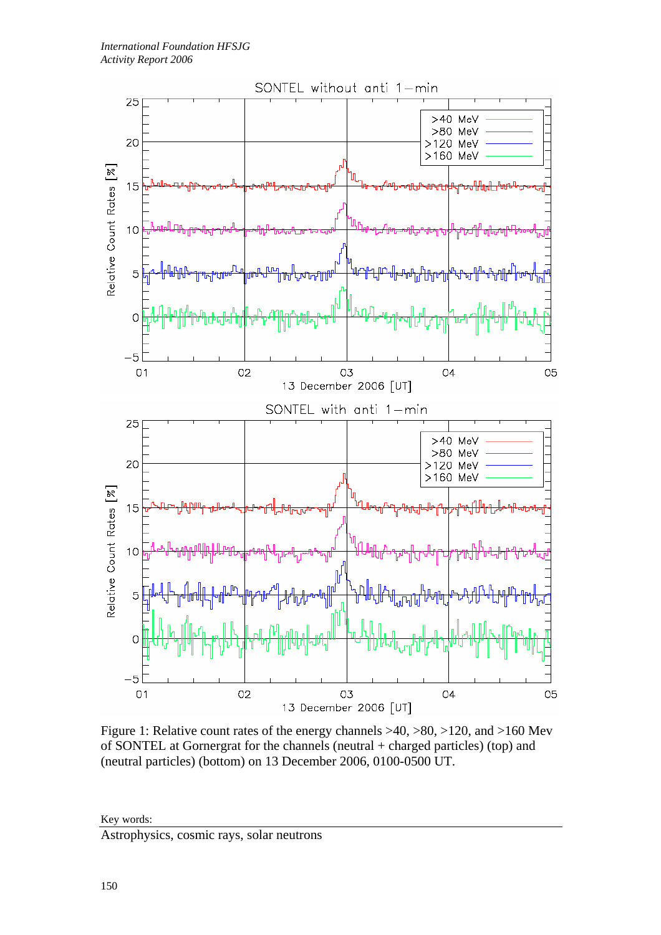

Figure 1: Relative count rates of the energy channels >40, >80, >120, and >160 Mev of SONTEL at Gornergrat for the channels (neutral + charged particles) (top) and (neutral particles) (bottom) on 13 December 2006, 0100-0500 UT.

Key words:

Astrophysics, cosmic rays, solar neutrons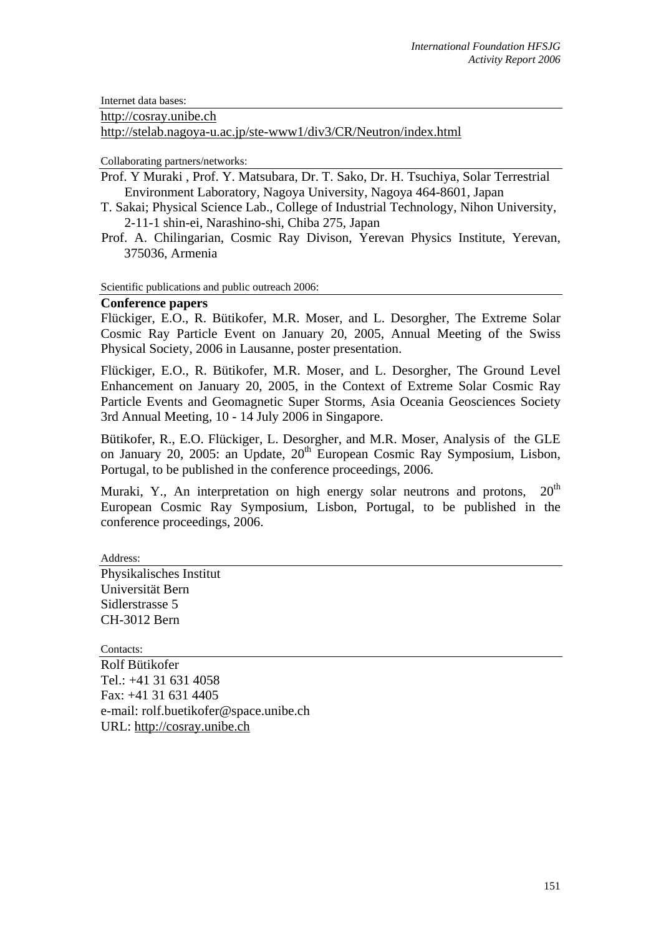Internet data bases:

http://cosray.unibe.ch

http://stelab.nagoya-u.ac.jp/ste-www1/div3/CR/Neutron/index.html

Collaborating partners/networks:

Prof. Y Muraki , Prof. Y. Matsubara, Dr. T. Sako, Dr. H. Tsuchiya, Solar Terrestrial Environment Laboratory, Nagoya University, Nagoya 464-8601, Japan

- T. Sakai; Physical Science Lab., College of Industrial Technology, Nihon University, 2-11-1 shin-ei, Narashino-shi, Chiba 275, Japan
- Prof. A. Chilingarian, Cosmic Ray Divison, Yerevan Physics Institute, Yerevan, 375036, Armenia

Scientific publications and public outreach 2006:

## **Conference papers**

Flückiger, E.O., R. Bütikofer, M.R. Moser, and L. Desorgher, The Extreme Solar Cosmic Ray Particle Event on January 20, 2005, Annual Meeting of the Swiss Physical Society, 2006 in Lausanne, poster presentation.

Flückiger, E.O., R. Bütikofer, M.R. Moser, and L. Desorgher, The Ground Level Enhancement on January 20, 2005, in the Context of Extreme Solar Cosmic Ray Particle Events and Geomagnetic Super Storms, Asia Oceania Geosciences Society 3rd Annual Meeting, 10 - 14 July 2006 in Singapore.

Bütikofer, R., E.O. Flückiger, L. Desorgher, and M.R. Moser, Analysis of the GLE on January 20, 2005: an Update, 20<sup>th</sup> European Cosmic Ray Symposium, Lisbon, Portugal, to be published in the conference proceedings, 2006.

Muraki, Y., An interpretation on high energy solar neutrons and protons,  $20<sup>th</sup>$ European Cosmic Ray Symposium, Lisbon, Portugal, to be published in the conference proceedings, 2006.

Address:

Physikalisches Institut Universität Bern Sidlerstrasse 5 CH-3012 Bern

Contacts:

Rolf Bütikofer Tel.: +41 31 631 4058 Fax: +41 31 631 4405 e-mail: rolf.buetikofer@space.unibe.ch URL: http://cosray.unibe.ch